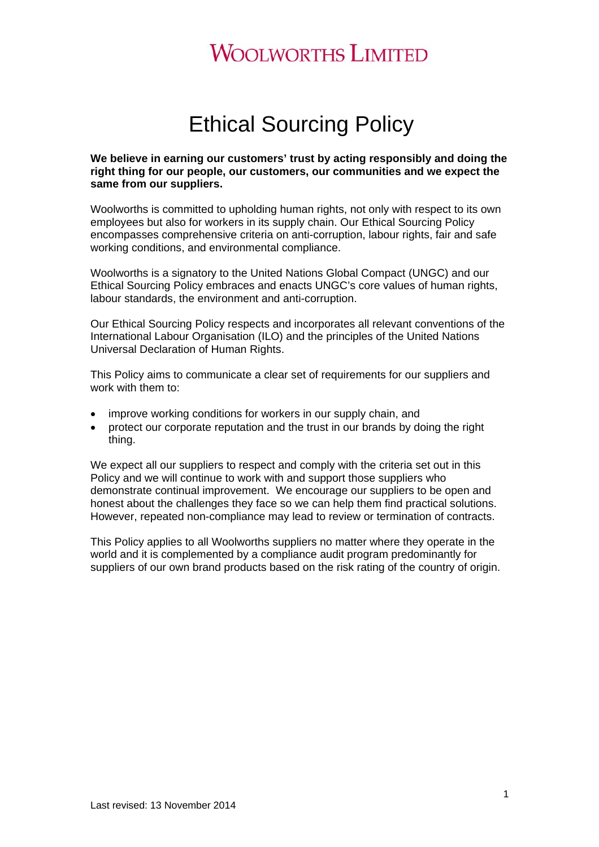# Ethical Sourcing Policy

**We believe in earning our customers' trust by acting responsibly and doing the right thing for our people, our customers, our communities and we expect the same from our suppliers.** 

Woolworths is committed to upholding human rights, not only with respect to its own employees but also for workers in its supply chain. Our Ethical Sourcing Policy encompasses comprehensive criteria on anti-corruption, labour rights, fair and safe working conditions, and environmental compliance.

Woolworths is a signatory to the United Nations Global Compact (UNGC) and our Ethical Sourcing Policy embraces and enacts UNGC's core values of human rights, labour standards, the environment and anti-corruption.

Our Ethical Sourcing Policy respects and incorporates all relevant conventions of the International Labour Organisation (ILO) and the principles of the United Nations Universal Declaration of Human Rights.

This Policy aims to communicate a clear set of requirements for our suppliers and work with them to:

- improve working conditions for workers in our supply chain, and
- protect our corporate reputation and the trust in our brands by doing the right thing.

We expect all our suppliers to respect and comply with the criteria set out in this Policy and we will continue to work with and support those suppliers who demonstrate continual improvement. We encourage our suppliers to be open and honest about the challenges they face so we can help them find practical solutions. However, repeated non-compliance may lead to review or termination of contracts.

This Policy applies to all Woolworths suppliers no matter where they operate in the world and it is complemented by a compliance audit program predominantly for suppliers of our own brand products based on the risk rating of the country of origin.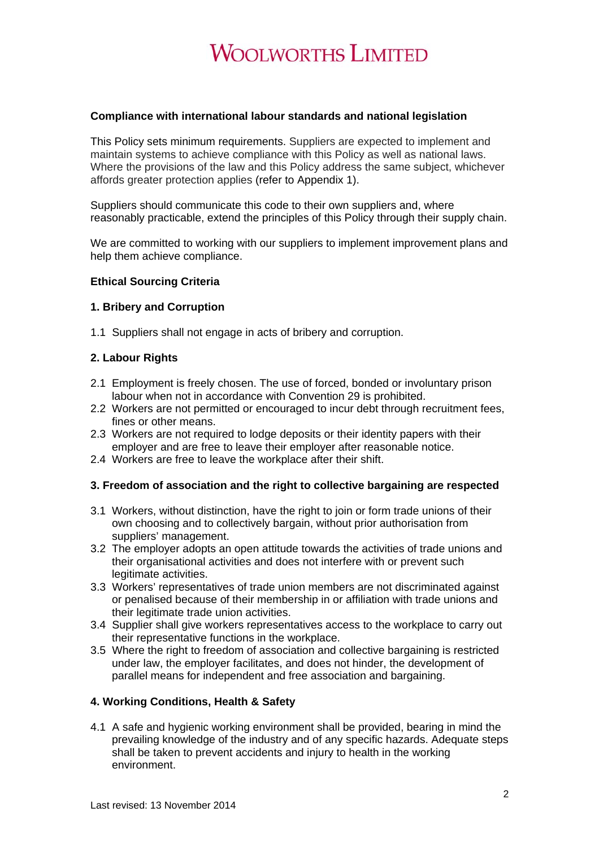#### **Compliance with international labour standards and national legislation**

This Policy sets minimum requirements. Suppliers are expected to implement and maintain systems to achieve compliance with this Policy as well as national laws. Where the provisions of the law and this Policy address the same subject, whichever affords greater protection applies (refer to Appendix 1).

Suppliers should communicate this code to their own suppliers and, where reasonably practicable, extend the principles of this Policy through their supply chain.

We are committed to working with our suppliers to implement improvement plans and help them achieve compliance.

### **Ethical Sourcing Criteria**

## **1. Bribery and Corruption**

1.1 Suppliers shall not engage in acts of bribery and corruption.

### **2. Labour Rights**

- 2.1 Employment is freely chosen. The use of forced, bonded or involuntary prison labour when not in accordance with Convention 29 is prohibited.
- 2.2 Workers are not permitted or encouraged to incur debt through recruitment fees, fines or other means.
- 2.3 Workers are not required to lodge deposits or their identity papers with their employer and are free to leave their employer after reasonable notice.
- 2.4 Workers are free to leave the workplace after their shift.

#### **3. Freedom of association and the right to collective bargaining are respected**

- 3.1 Workers, without distinction, have the right to join or form trade unions of their own choosing and to collectively bargain, without prior authorisation from suppliers' management.
- 3.2 The employer adopts an open attitude towards the activities of trade unions and their organisational activities and does not interfere with or prevent such legitimate activities.
- 3.3 Workers' representatives of trade union members are not discriminated against or penalised because of their membership in or affiliation with trade unions and their legitimate trade union activities.
- 3.4 Supplier shall give workers representatives access to the workplace to carry out their representative functions in the workplace.
- 3.5 Where the right to freedom of association and collective bargaining is restricted under law, the employer facilitates, and does not hinder, the development of parallel means for independent and free association and bargaining.

#### **4. Working Conditions, Health & Safety**

4.1 A safe and hygienic working environment shall be provided, bearing in mind the prevailing knowledge of the industry and of any specific hazards. Adequate steps shall be taken to prevent accidents and injury to health in the working environment.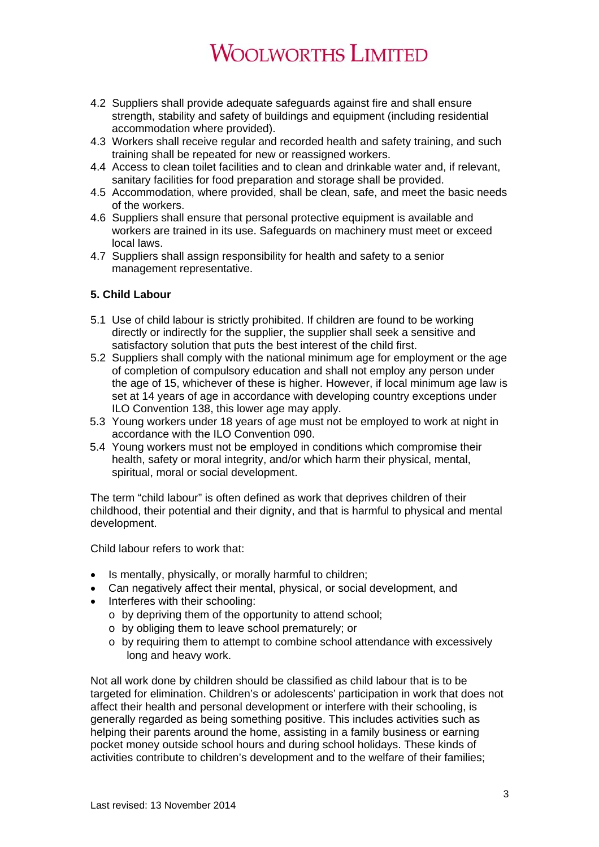- 4.2 Suppliers shall provide adequate safeguards against fire and shall ensure strength, stability and safety of buildings and equipment (including residential accommodation where provided).
- 4.3 Workers shall receive regular and recorded health and safety training, and such training shall be repeated for new or reassigned workers.
- 4.4 Access to clean toilet facilities and to clean and drinkable water and, if relevant, sanitary facilities for food preparation and storage shall be provided.
- 4.5 Accommodation, where provided, shall be clean, safe, and meet the basic needs of the workers.
- 4.6 Suppliers shall ensure that personal protective equipment is available and workers are trained in its use. Safeguards on machinery must meet or exceed local laws.
- 4.7 Suppliers shall assign responsibility for health and safety to a senior management representative.

## **5. Child Labour**

- 5.1 Use of child labour is strictly prohibited. If children are found to be working directly or indirectly for the supplier, the supplier shall seek a sensitive and satisfactory solution that puts the best interest of the child first.
- 5.2 Suppliers shall comply with the national minimum age for employment or the age of completion of compulsory education and shall not employ any person under the age of 15, whichever of these is higher. However, if local minimum age law is set at 14 years of age in accordance with developing country exceptions under ILO Convention 138, this lower age may apply.
- 5.3 Young workers under 18 years of age must not be employed to work at night in accordance with the ILO Convention 090.
- 5.4 Young workers must not be employed in conditions which compromise their health, safety or moral integrity, and/or which harm their physical, mental, spiritual, moral or social development.

The term "child labour" is often defined as work that deprives children of their childhood, their potential and their dignity, and that is harmful to physical and mental development.

Child labour refers to work that:

- Is mentally, physically, or morally harmful to children;
- Can negatively affect their mental, physical, or social development, and
- Interferes with their schooling:
	- o by depriving them of the opportunity to attend school;
	- o by obliging them to leave school prematurely; or
	- o by requiring them to attempt to combine school attendance with excessively long and heavy work.

Not all work done by children should be classified as child labour that is to be targeted for elimination. Children's or adolescents' participation in work that does not affect their health and personal development or interfere with their schooling, is generally regarded as being something positive. This includes activities such as helping their parents around the home, assisting in a family business or earning pocket money outside school hours and during school holidays. These kinds of activities contribute to children's development and to the welfare of their families;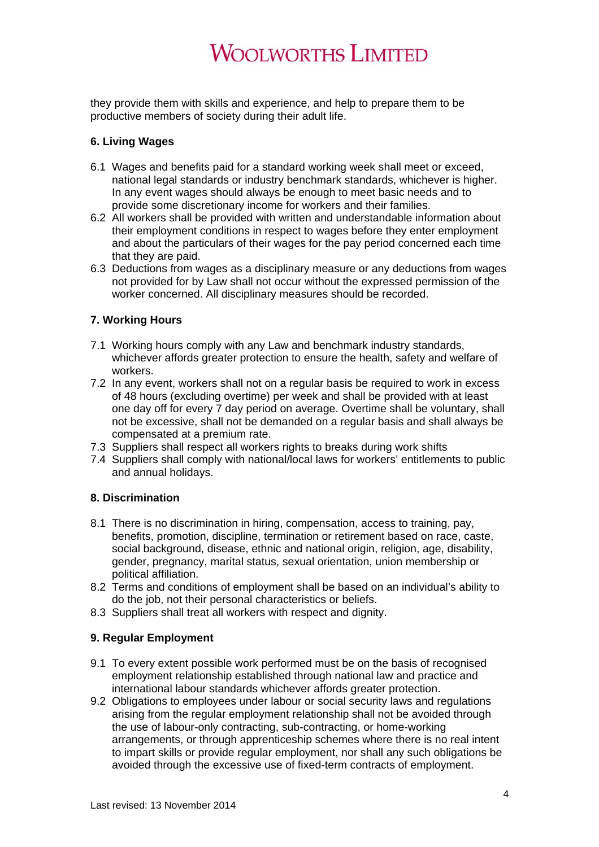they provide them with skills and experience, and help to prepare them to be productive members of society during their adult life.

# **6. Living Wages**

- 6.1 Wages and benefits paid for a standard working week shall meet or exceed, national legal standards or industry benchmark standards, whichever is higher. In any event wages should always be enough to meet basic needs and to provide some discretionary income for workers and their families.
- 6.2 All workers shall be provided with written and understandable information about their employment conditions in respect to wages before they enter employment and about the particulars of their wages for the pay period concerned each time that they are paid.
- 6.3 Deductions from wages as a disciplinary measure or any deductions from wages not provided for by Law shall not occur without the expressed permission of the worker concerned. All disciplinary measures should be recorded.

# **7. Working Hours**

- 7.1 Working hours comply with any Law and benchmark industry standards, whichever affords greater protection to ensure the health, safety and welfare of workers.
- 7.2 In any event, workers shall not on a regular basis be required to work in excess of 48 hours (excluding overtime) per week and shall be provided with at least one day off for every 7 day period on average. Overtime shall be voluntary, shall not be excessive, shall not be demanded on a regular basis and shall always be compensated at a premium rate.
- 7.3 Suppliers shall respect all workers rights to breaks during work shifts
- 7.4 Suppliers shall comply with national/local laws for workers' entitlements to public and annual holidays.

## **8. Discrimination**

- 8.1 There is no discrimination in hiring, compensation, access to training, pay, benefits, promotion, discipline, termination or retirement based on race, caste, social background, disease, ethnic and national origin, religion, age, disability, gender, pregnancy, marital status, sexual orientation, union membership or political affiliation.
- 8.2 Terms and conditions of employment shall be based on an individual's ability to do the job, not their personal characteristics or beliefs.
- 8.3 Suppliers shall treat all workers with respect and dignity.

## **9. Regular Employment**

- 9.1 To every extent possible work performed must be on the basis of recognised employment relationship established through national law and practice and international labour standards whichever affords greater protection.
- 9.2 Obligations to employees under labour or social security laws and regulations arising from the regular employment relationship shall not be avoided through the use of labour-only contracting, sub-contracting, or home-working arrangements, or through apprenticeship schemes where there is no real intent to impart skills or provide regular employment, nor shall any such obligations be avoided through the excessive use of fixed-term contracts of employment.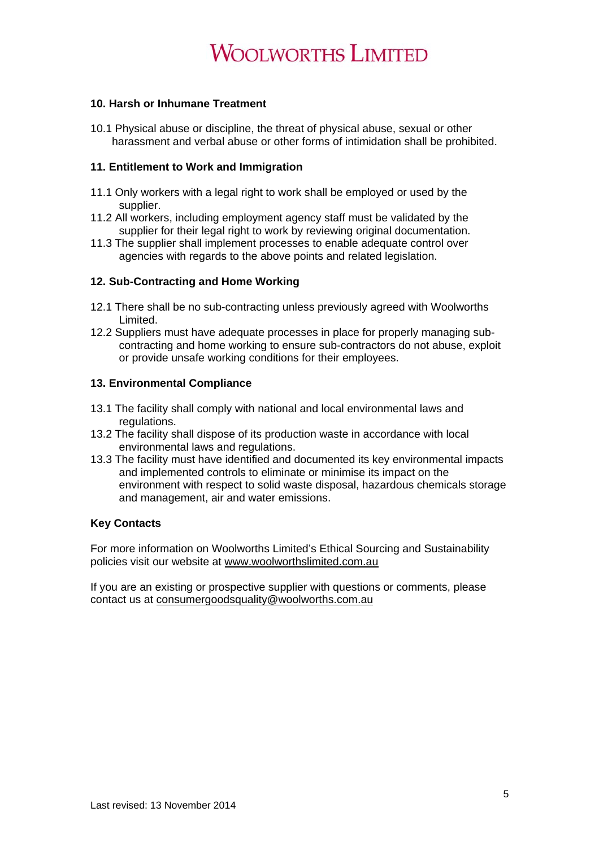## **10. Harsh or Inhumane Treatment**

10.1 Physical abuse or discipline, the threat of physical abuse, sexual or other harassment and verbal abuse or other forms of intimidation shall be prohibited.

## **11. Entitlement to Work and Immigration**

- 11.1 Only workers with a legal right to work shall be employed or used by the supplier.
- 11.2 All workers, including employment agency staff must be validated by the supplier for their legal right to work by reviewing original documentation.
- 11.3 The supplier shall implement processes to enable adequate control over agencies with regards to the above points and related legislation.

# **12. Sub-Contracting and Home Working**

- 12.1 There shall be no sub-contracting unless previously agreed with Woolworths Limited.
- 12.2 Suppliers must have adequate processes in place for properly managing subcontracting and home working to ensure sub-contractors do not abuse, exploit or provide unsafe working conditions for their employees.

# **13. Environmental Compliance**

- 13.1 The facility shall comply with national and local environmental laws and regulations.
- 13.2 The facility shall dispose of its production waste in accordance with local environmental laws and regulations.
- 13.3 The facility must have identified and documented its key environmental impacts and implemented controls to eliminate or minimise its impact on the environment with respect to solid waste disposal, hazardous chemicals storage and management, air and water emissions.

## **Key Contacts**

For more information on Woolworths Limited's Ethical Sourcing and Sustainability policies visit our website at www.woolworthslimited.com.au

If you are an existing or prospective supplier with questions or comments, please contact us at consumergoodsquality@woolworths.com.au